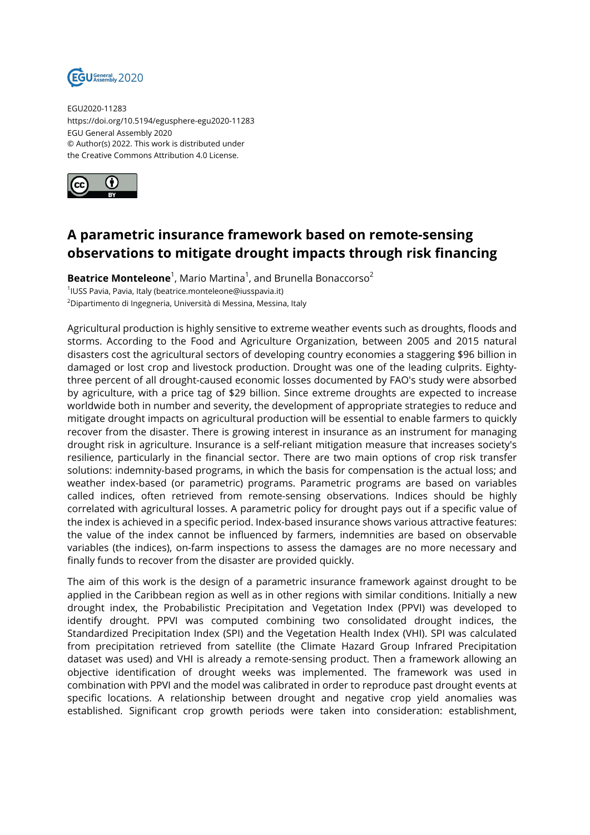

EGU2020-11283 https://doi.org/10.5194/egusphere-egu2020-11283 EGU General Assembly 2020 © Author(s) 2022. This work is distributed under the Creative Commons Attribution 4.0 License.



## **A parametric insurance framework based on remote-sensing observations to mitigate drought impacts through risk financing**

**Beatrice Monteleone**<sup>1</sup>, Mario Martina<sup>1</sup>, and Brunella Bonaccorso<sup>2</sup> 1 IUSS Pavia, Pavia, Italy (beatrice.monteleone@iusspavia.it) <sup>2</sup>Dipartimento di Ingegneria, Università di Messina, Messina, Italy

Agricultural production is highly sensitive to extreme weather events such as droughts, floods and storms. According to the Food and Agriculture Organization, between 2005 and 2015 natural disasters cost the agricultural sectors of developing country economies a staggering \$96 billion in damaged or lost crop and livestock production. Drought was one of the leading culprits. Eightythree percent of all drought-caused economic losses documented by FAO's study were absorbed by agriculture, with a price tag of \$29 billion. Since extreme droughts are expected to increase worldwide both in number and severity, the development of appropriate strategies to reduce and mitigate drought impacts on agricultural production will be essential to enable farmers to quickly recover from the disaster. There is growing interest in insurance as an instrument for managing drought risk in agriculture. Insurance is a self-reliant mitigation measure that increases society's resilience, particularly in the financial sector. There are two main options of crop risk transfer solutions: indemnity-based programs, in which the basis for compensation is the actual loss; and weather index-based (or parametric) programs. Parametric programs are based on variables called indices, often retrieved from remote-sensing observations. Indices should be highly correlated with agricultural losses. A parametric policy for drought pays out if a specific value of the index is achieved in a specific period. Index-based insurance shows various attractive features: the value of the index cannot be influenced by farmers, indemnities are based on observable variables (the indices), on-farm inspections to assess the damages are no more necessary and finally funds to recover from the disaster are provided quickly.

The aim of this work is the design of a parametric insurance framework against drought to be applied in the Caribbean region as well as in other regions with similar conditions. Initially a new drought index, the Probabilistic Precipitation and Vegetation Index (PPVI) was developed to identify drought. PPVI was computed combining two consolidated drought indices, the Standardized Precipitation Index (SPI) and the Vegetation Health Index (VHI). SPI was calculated from precipitation retrieved from satellite (the Climate Hazard Group Infrared Precipitation dataset was used) and VHI is already a remote-sensing product. Then a framework allowing an objective identification of drought weeks was implemented. The framework was used in combination with PPVI and the model was calibrated in order to reproduce past drought events at specific locations. A relationship between drought and negative crop yield anomalies was established. Significant crop growth periods were taken into consideration: establishment,